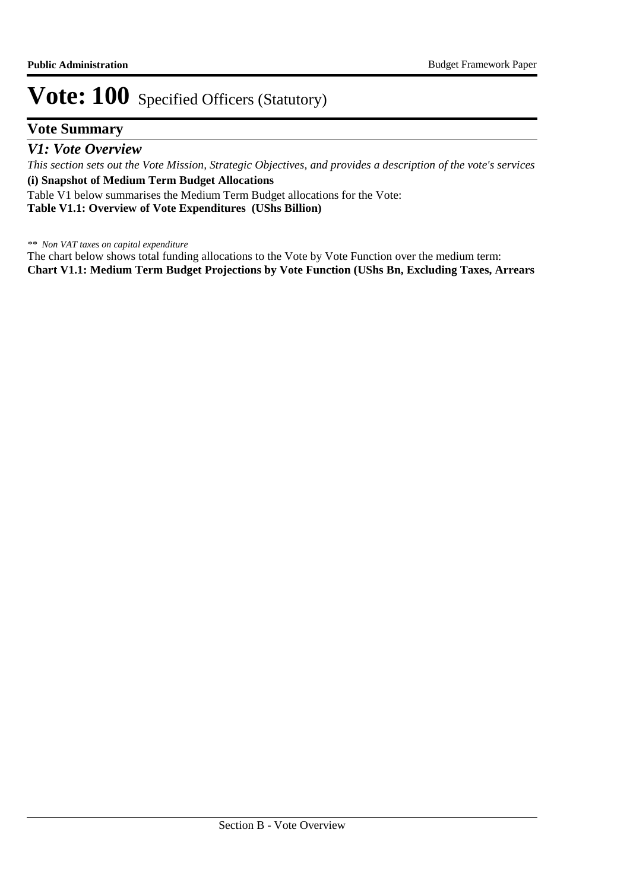## **Vote: 100** Specified Officers (Statutory)

## **Vote Summary**

*This section sets out the Vote Mission, Strategic Objectives, and provides a description of the vote's services* **(i) Snapshot of Medium Term Budget Allocations**  Table V1 below summarises the Medium Term Budget allocations for the Vote: *V1: Vote Overview*

**Table V1.1: Overview of Vote Expenditures (UShs Billion)**

*\*\* Non VAT taxes on capital expenditure*

The chart below shows total funding allocations to the Vote by Vote Function over the medium term: **Chart V1.1: Medium Term Budget Projections by Vote Function (UShs Bn, Excluding Taxes, Arrears**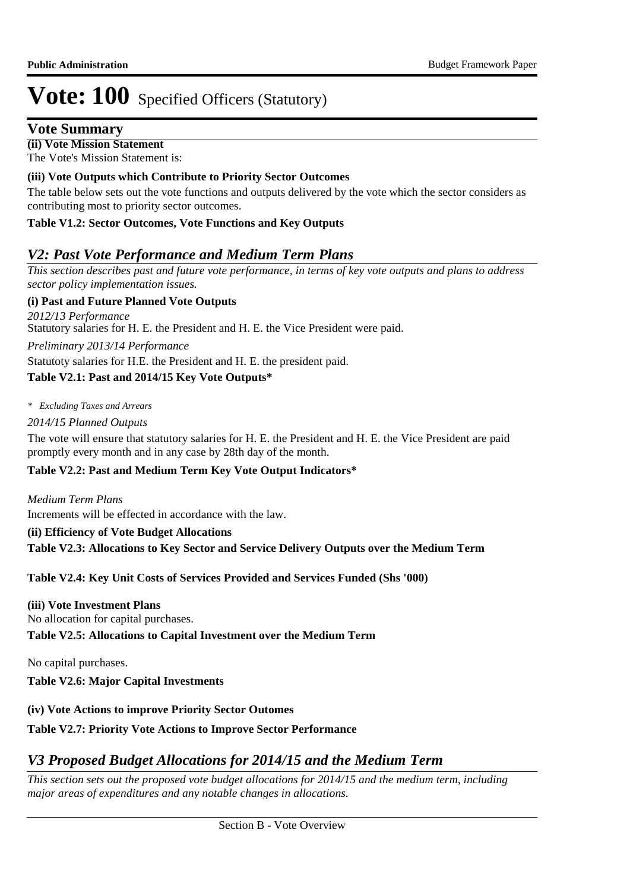# **Vote: 100** Specified Officers (Statutory)

## **Vote Summary**

**(ii) Vote Mission Statement** The Vote's Mission Statement is:

#### **(iii) Vote Outputs which Contribute to Priority Sector Outcomes**

The table below sets out the vote functions and outputs delivered by the vote which the sector considers as contributing most to priority sector outcomes.

#### **Table V1.2: Sector Outcomes, Vote Functions and Key Outputs**

## *V2: Past Vote Performance and Medium Term Plans*

*This section describes past and future vote performance, in terms of key vote outputs and plans to address sector policy implementation issues.* 

#### **(i) Past and Future Planned Vote Outputs**

Statutory salaries for H. E. the President and H. E. the Vice President were paid. *2012/13 Performance*

*Preliminary 2013/14 Performance*

Statutoty salaries for H.E. the President and H. E. the president paid.

#### **Table V2.1: Past and 2014/15 Key Vote Outputs\***

*\* Excluding Taxes and Arrears*

#### *2014/15 Planned Outputs*

The vote will ensure that statutory salaries for H. E. the President and H. E. the Vice President are paid promptly every month and in any case by 28th day of the month.

#### **Table V2.2: Past and Medium Term Key Vote Output Indicators\***

Increments will be effected in accordance with the law. *Medium Term Plans*

**(ii) Efficiency of Vote Budget Allocations Table V2.3: Allocations to Key Sector and Service Delivery Outputs over the Medium Term**

#### **Table V2.4: Key Unit Costs of Services Provided and Services Funded (Shs '000)**

### **(iii) Vote Investment Plans**

No allocation for capital purchases.

#### **Table V2.5: Allocations to Capital Investment over the Medium Term**

No capital purchases.

**Table V2.6: Major Capital Investments** 

#### **(iv) Vote Actions to improve Priority Sector Outomes**

#### **Table V2.7: Priority Vote Actions to Improve Sector Performance**

## *V3 Proposed Budget Allocations for 2014/15 and the Medium Term*

*This section sets out the proposed vote budget allocations for 2014/15 and the medium term, including major areas of expenditures and any notable changes in allocations.*